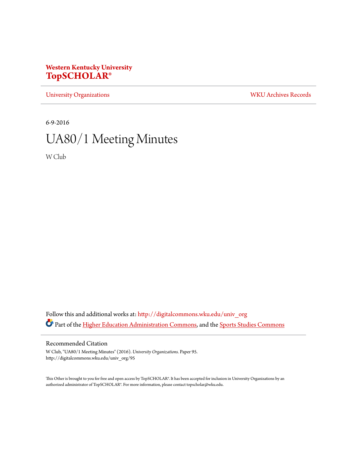## **Western Kentucky University [TopSCHOLAR®](http://digitalcommons.wku.edu?utm_source=digitalcommons.wku.edu%2Funiv_org%2F95&utm_medium=PDF&utm_campaign=PDFCoverPages)**

[University Organizations](http://digitalcommons.wku.edu/univ_org?utm_source=digitalcommons.wku.edu%2Funiv_org%2F95&utm_medium=PDF&utm_campaign=PDFCoverPages) [WKU Archives Records](http://digitalcommons.wku.edu/dlsc_ua_records?utm_source=digitalcommons.wku.edu%2Funiv_org%2F95&utm_medium=PDF&utm_campaign=PDFCoverPages)

6-9-2016

## UA80/1 Meeting Minutes

W Club

Follow this and additional works at: [http://digitalcommons.wku.edu/univ\\_org](http://digitalcommons.wku.edu/univ_org?utm_source=digitalcommons.wku.edu%2Funiv_org%2F95&utm_medium=PDF&utm_campaign=PDFCoverPages) Part of the [Higher Education Administration Commons](http://network.bepress.com/hgg/discipline/791?utm_source=digitalcommons.wku.edu%2Funiv_org%2F95&utm_medium=PDF&utm_campaign=PDFCoverPages), and the [Sports Studies Commons](http://network.bepress.com/hgg/discipline/1198?utm_source=digitalcommons.wku.edu%2Funiv_org%2F95&utm_medium=PDF&utm_campaign=PDFCoverPages)

## Recommended Citation

W Club, "UA80/1 Meeting Minutes" (2016). *University Organizations.* Paper 95. http://digitalcommons.wku.edu/univ\_org/95

This Other is brought to you for free and open access by TopSCHOLAR®. It has been accepted for inclusion in University Organizations by an authorized administrator of TopSCHOLAR®. For more information, please contact topscholar@wku.edu.